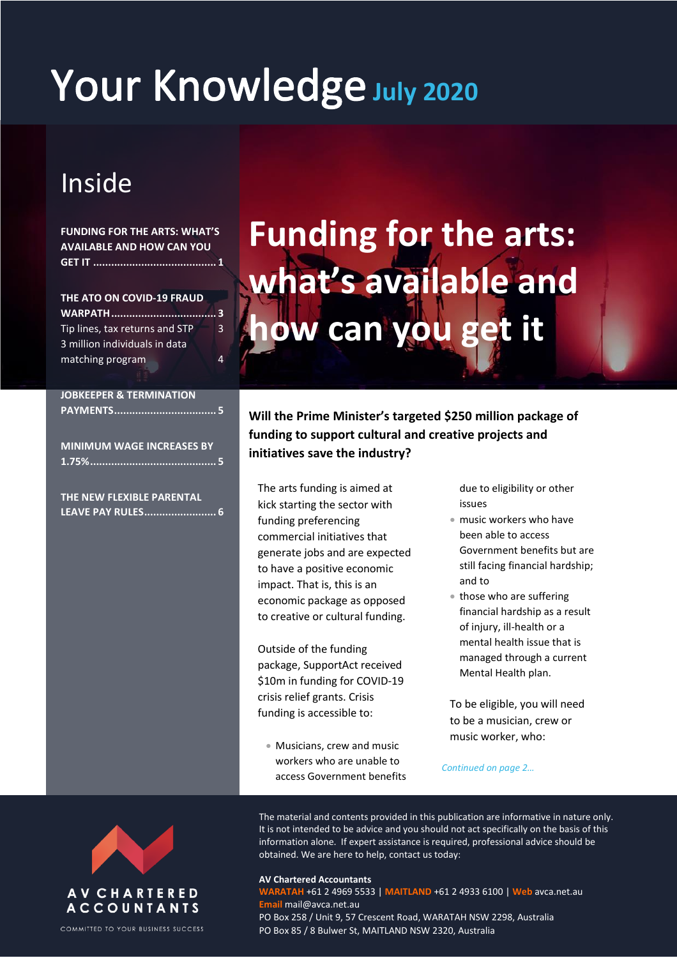# Your Knowledge July 2020

# Inside

### **FUNDING FOR THE ARTS: WHAT'S AVAILABLE AND HOW CAN YOU GET IT ......................................... 1**

**THE ATO ON COVID-19 FRAUD WARPATH................................... 3** Tip lines, tax returns and STP 3 3 million individuals in data matching program 4

### **JOBKEEPER & TERMINATION PAYMENTS.................................. 5**

**MINIMUM WAGE INCREASES BY 1.75%.......................................... 5**

**THE NEW FLEXIBLE PARENTAL LEAVE PAY RULES........................ 6**

# **Funding for the arts: what's available and how can you get it**

**Will the Prime Minister's targeted \$250 million package of funding to support cultural and creative projects and initiatives save the industry?**

The arts funding is aimed at kick starting the sector with funding preferencing commercial initiatives that generate jobs and are expected to have a positive economic impact. That is, this is an economic package as opposed to creative or cultural funding.

Outside of the funding package, SupportAct received \$10m in funding for COVID-19 crisis relief grants. Crisis funding is accessible to:

 Musicians, crew and music workers who are unable to access Government benefits due to eligibility or other issues

- music workers who have been able to access Government benefits but are still facing financial hardship; and to
- those who are suffering financial hardship as a result of injury, ill-health or a mental health issue that is managed through a current Mental Health plan.

To be eligible, you will need to be a musician, crew or music worker, who:

*Continued on page 2…*



COMMITTED TO YOUR BUSINESS SUCCESS

The material and contents provided in this publication are informative in nature only. It is not intended to be advice and you should not act specifically on the basis of this information alone. If expert assistance is required, professional advice should be obtained. We are here to help, contact us today:

#### **AV Chartered Accountants**

**WARATAH** +61 2 4969 5533 | **MAITLAND** +61 2 4933 6100 | **Web** avca.net.au **Email** mail@avca.net.au PO Box 258 / Unit 9, 57 Crescent Road, WARATAH NSW 2298, Australia PO Box 85 / 8 Bulwer St, MAITLAND NSW 2320, Australia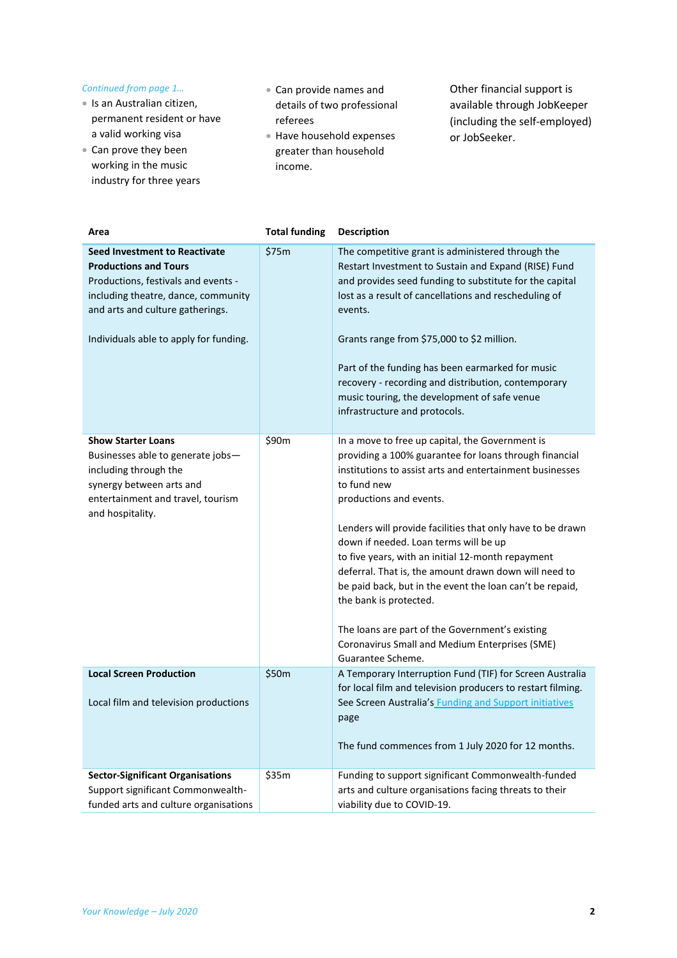### *Continued from page 1…*

- Is an Australian citizen, permanent resident or have a valid working visa
- Can prove they been working in the music industry for three years
- Can provide names and details of two professional referees
- Have household expenses greater than household income.

Other financial support is available through JobKeeper (including the self-employed) or JobSeeker.

| Area                                                                                                                                                                                                                             | <b>Total funding</b> | <b>Description</b>                                                                                                                                                                                                                                                                                                                                                                                                                                                                                                                                                                                                                                   |
|----------------------------------------------------------------------------------------------------------------------------------------------------------------------------------------------------------------------------------|----------------------|------------------------------------------------------------------------------------------------------------------------------------------------------------------------------------------------------------------------------------------------------------------------------------------------------------------------------------------------------------------------------------------------------------------------------------------------------------------------------------------------------------------------------------------------------------------------------------------------------------------------------------------------------|
| <b>Seed Investment to Reactivate</b><br><b>Productions and Tours</b><br>Productions, festivals and events -<br>including theatre, dance, community<br>and arts and culture gatherings.<br>Individuals able to apply for funding. | \$75m                | The competitive grant is administered through the<br>Restart Investment to Sustain and Expand (RISE) Fund<br>and provides seed funding to substitute for the capital<br>lost as a result of cancellations and rescheduling of<br>events.<br>Grants range from \$75,000 to \$2 million.<br>Part of the funding has been earmarked for music<br>recovery - recording and distribution, contemporary<br>music touring, the development of safe venue<br>infrastructure and protocols.                                                                                                                                                                   |
| <b>Show Starter Loans</b><br>Businesses able to generate jobs-<br>including through the<br>synergy between arts and<br>entertainment and travel, tourism<br>and hospitality.                                                     | \$90m                | In a move to free up capital, the Government is<br>providing a 100% guarantee for loans through financial<br>institutions to assist arts and entertainment businesses<br>to fund new<br>productions and events.<br>Lenders will provide facilities that only have to be drawn<br>down if needed. Loan terms will be up<br>to five years, with an initial 12-month repayment<br>deferral. That is, the amount drawn down will need to<br>be paid back, but in the event the loan can't be repaid,<br>the bank is protected.<br>The loans are part of the Government's existing<br>Coronavirus Small and Medium Enterprises (SME)<br>Guarantee Scheme. |
| <b>Local Screen Production</b><br>Local film and television productions                                                                                                                                                          | \$50m                | A Temporary Interruption Fund (TIF) for Screen Australia<br>for local film and television producers to restart filming.<br>See Screen Australia's Funding and Support initiatives<br>page<br>The fund commences from 1 July 2020 for 12 months.                                                                                                                                                                                                                                                                                                                                                                                                      |
| <b>Sector-Significant Organisations</b><br>Support significant Commonwealth-<br>funded arts and culture organisations                                                                                                            | \$35m                | Funding to support significant Commonwealth-funded<br>arts and culture organisations facing threats to their<br>viability due to COVID-19.                                                                                                                                                                                                                                                                                                                                                                                                                                                                                                           |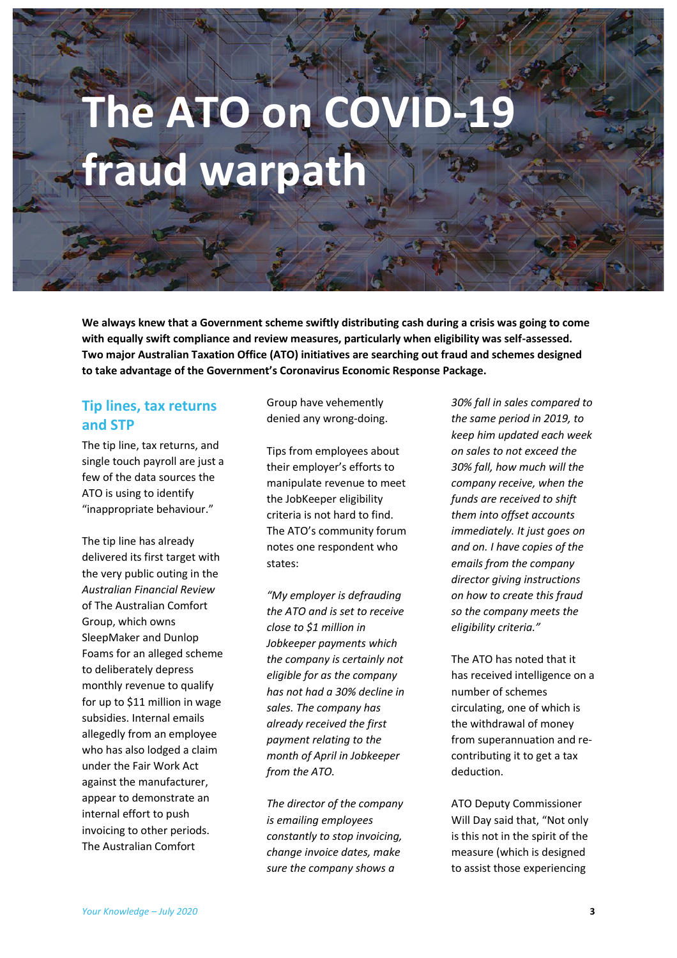# The ATO on COVID-1 **fraud warpath**

**We always knew that a Government scheme swiftly distributing cash during a crisis was going to come with equally swift compliance and review measures, particularly when eligibility was self-assessed. Two major Australian Taxation Office (ATO) initiatives are searching out fraud and schemes designed to take advantage of the Government's Coronavirus Economic Response Package.**

## **Tip lines, tax returns and STP**

The tip line, tax returns, and single touch payroll are just a few of the data sources the ATO is using to identify "inappropriate behaviour."

The tip line has already delivered its first target with the very public outing in the *Australian Financial Review* of The Australian Comfort Group, which owns SleepMaker and Dunlop Foams for an alleged scheme to deliberately depress monthly revenue to qualify for up to \$11 million in wage subsidies. Internal emails allegedly from an employee who has also lodged a claim under the Fair Work Act against the manufacturer, appear to demonstrate an internal effort to push invoicing to other periods. The Australian Comfort

Group have vehemently denied any wrong-doing.

Tips from employees about their employer's efforts to manipulate revenue to meet the JobKeeper eligibility criteria is not hard to find. The ATO's community forum notes one respondent who states:

*"My employer is defrauding the ATO and is set to receive close to \$1 million in Jobkeeper payments which the company is certainly not eligible for as the company has not had a 30% decline in sales. The company has already received the first payment relating to the month of April in Jobkeeper from the ATO.*

*The director of the company is emailing employees constantly to stop invoicing, change invoice dates, make sure the company shows a* 

*30% fall in sales compared to the same period in 2019, to keep him updated each week on sales to not exceed the 30% fall, how much will the company receive, when the funds are received to shift them into offset accounts immediately. It just goes on and on. I have copies of the emails from the company director giving instructions on how to create this fraud so the company meets the eligibility criteria."*

The ATO has noted that it has received intelligence on a number of schemes circulating, one of which is the withdrawal of money from superannuation and recontributing it to get a tax deduction.

ATO Deputy Commissioner Will Day said that, "Not only is this not in the spirit of the measure (which is designed to assist those experiencing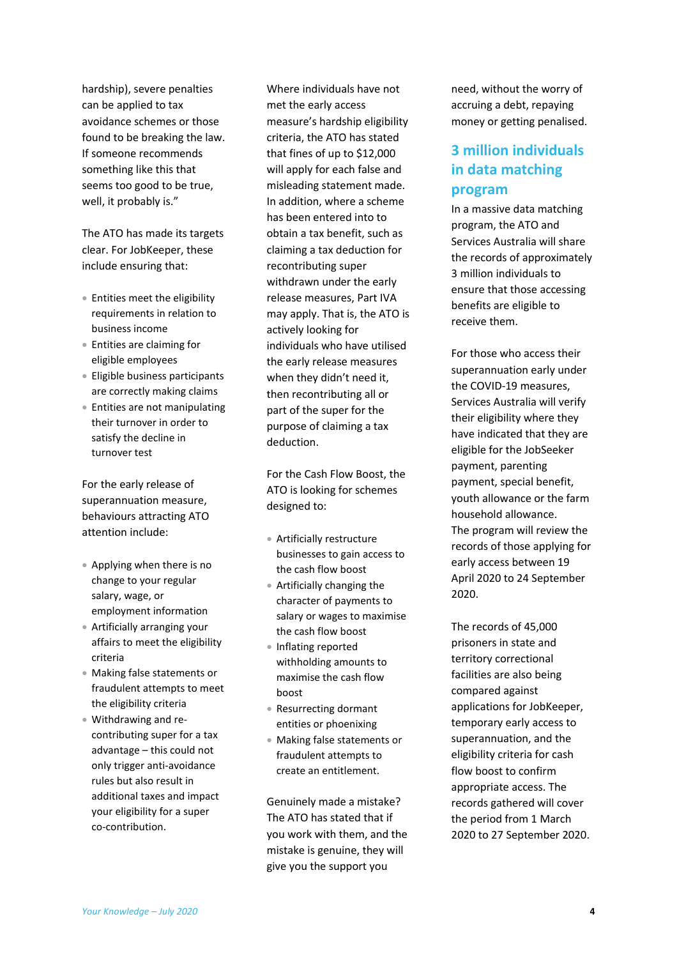hardship), severe penalties can be applied to tax avoidance schemes or those found to be breaking the law. If someone recommends something like this that seems too good to be true, well, it probably is."

The ATO has made its targets clear. For JobKeeper, these include ensuring that:

- Entities meet the eligibility requirements in relation to business income
- Entities are claiming for eligible employees
- Eligible business participants are correctly making claims
- Entities are not manipulating their turnover in order to satisfy the decline in turnover test

For the early release of superannuation measure, behaviours attracting ATO attention include:

- Applying when there is no change to your regular salary, wage, or employment information
- Artificially arranging your affairs to meet the eligibility criteria
- Making false statements or fraudulent attempts to meet the eligibility criteria
- Withdrawing and recontributing super for a tax advantage – this could not only trigger anti-avoidance rules but also result in additional taxes and impact your eligibility for a super co-contribution.

Where individuals have not met the early access measure's hardship eligibility criteria, the ATO has stated that fines of up to \$12,000 will apply for each false and misleading statement made. In addition, where a scheme has been entered into to obtain a tax benefit, such as claiming a tax deduction for recontributing super withdrawn under the early release measures, Part IVA may apply. That is, the ATO is actively looking for individuals who have utilised the early release measures when they didn't need it, then recontributing all or part of the super for the purpose of claiming a tax deduction.

For the Cash Flow Boost, the ATO is looking for schemes designed to:

- Artificially restructure businesses to gain access to the cash flow boost
- Artificially changing the character of payments to salary or wages to maximise the cash flow boost
- Inflating reported withholding amounts to maximise the cash flow boost
- Resurrecting dormant entities or phoenixing
- Making false statements or fraudulent attempts to create an entitlement.

Genuinely made a mistake? The ATO has stated that if you work with them, and the mistake is genuine, they will give you the support you

need, without the worry of accruing a debt, repaying money or getting penalised.

## **3 million individuals in data matching program**

In a massive data matching program, the ATO and Services Australia will share the records of approximately 3 million individuals to ensure that those accessing benefits are eligible to receive them.

For those who access their superannuation early under the COVID-19 measures, Services Australia will verify their eligibility where they have indicated that they are eligible for the JobSeeker payment, parenting payment, special benefit, youth allowance or the farm household allowance. The program will review the records of those applying for early access between 19 April 2020 to 24 September 2020.

The records of 45,000 prisoners in state and territory correctional facilities are also being compared against applications for JobKeeper, temporary early access to superannuation, and the eligibility criteria for cash flow boost to confirm appropriate access. The records gathered will cover the period from 1 March 2020 to 27 September 2020.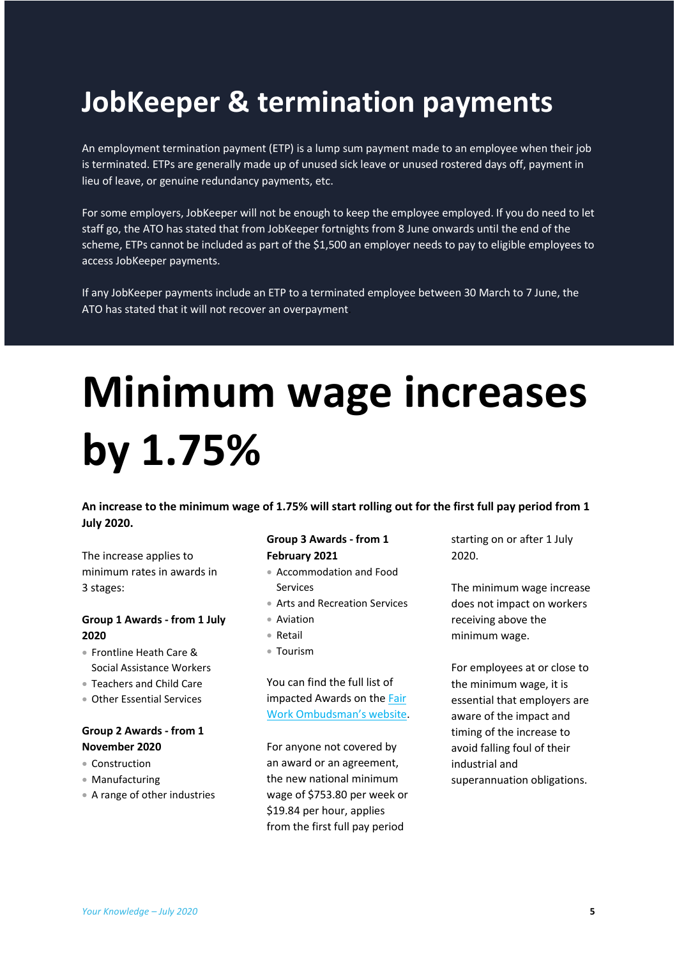# **JobKeeper & termination payments**

An employment termination payment (ETP) is a lump sum payment made to an employee when their job is terminated. ETPs are generally made up of unused sick leave or unused rostered days off, payment in lieu of leave, or genuine redundancy payments, etc.

For some employers, JobKeeper will not be enough to keep the employee employed. If you do need to let staff go, the ATO has stated that from JobKeeper fortnights from 8 June onwards until the end of the scheme, ETPs cannot be included as part of the \$1,500 an employer needs to pay to eligible employees to access JobKeeper payments.

If any JobKeeper payments include an ETP to a terminated employee between 30 March to 7 June, the ATO has stated that it will not recover an overpayment

# **Minimum wage increases by 1.75%**

**An increase to the minimum wage of 1.75% will start rolling out for the first full pay period from 1 July 2020.**

The increase applies to minimum rates in awards in 3 stages:

### **Group 1 Awards - from 1 July 2020**

- Frontline Heath Care & Social Assistance Workers
- Teachers and Child Care
- Other Essential Services

### **Group 2 Awards - from 1 November 2020**

- Construction
- Manufacturing
- A range of other industries

### **Group 3 Awards - from 1 February 2021**

- Accommodation and Food Services
- Arts and Recreation Services
- Aviation
- Retail
- Tourism

You can find the full list of impacted Awards on the [Fair](https://www.fairwork.gov.au/about-us/news-and-media-releases/website-news/the-commission-has-announced-a-1-75-increase-to-minimum-wages?utm_content=132364931&utm_medium=social&utm_source=twitter&hss_channel=tw-425561567)  [Work Ombudsman's website](https://www.fairwork.gov.au/about-us/news-and-media-releases/website-news/the-commission-has-announced-a-1-75-increase-to-minimum-wages?utm_content=132364931&utm_medium=social&utm_source=twitter&hss_channel=tw-425561567).

For anyone not covered by an award or an agreement, the new national minimum wage of \$753.80 per week or \$19.84 per hour, applies from the first full pay period

starting on or after 1 July 2020.

The minimum wage increase does not impact on workers receiving above the minimum wage.

For employees at or close to the minimum wage, it is essential that employers are aware of the impact and timing of the increase to avoid falling foul of their industrial and superannuation obligations.